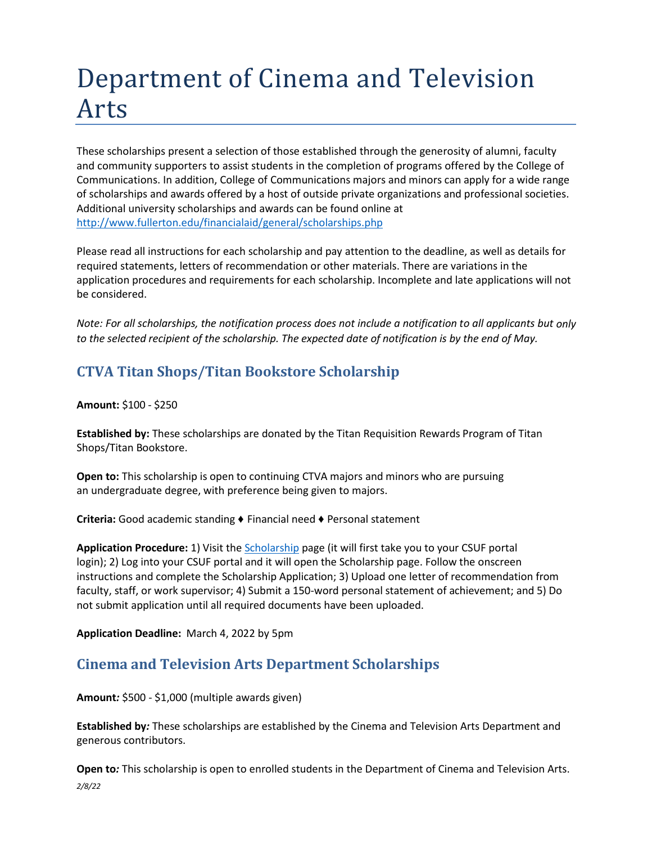# Department of Cinema and Television Arts

These scholarships present a selection of those established through the generosity of alumni, faculty and community supporters to assist students in the completion of programs offered by the College of Communications. In addition, College of Communications majors and minors can apply for a wide range of scholarships and awards offered by a host of outside private organizations and professional societies. Additional university scholarships and awards can be found online at <http://www.fullerton.edu/financialaid/general/scholarships.php>

Please read all instructions for each scholarship and pay attention to the deadline, as well as details for required statements, letters of recommendation or other materials. There are variations in the application procedures and requirements for each scholarship. Incomplete and late applications will not be considered.

*Note: For all scholarships, the notification process does not include a notification to all applicants but only to the selected recipient of the scholarship. The expected date of notification is by the end of May.*

# **CTVA Titan Shops/Titan Bookstore Scholarship**

#### **Amount:** \$100 - \$250

**Established by:** These scholarships are donated by the Titan Requisition Rewards Program of Titan Shops/Titan Bookstore.

**Open to:** This scholarship is open to continuing CTVA majors and minors who are pursuing an undergraduate degree, with preference being given to majors.

**Criteria:** Good academic standing ♦ Financial need ♦ Personal statement

**Application Procedure:** 1) Visit th[e Scholarship](https://my.fullerton.edu/Portal/Scholarships/) page (it will first take you to your CSUF portal login); 2) Log into your CSUF portal and it will open the Scholarship page. Follow the onscreen instructions and complete the Scholarship Application; 3) Upload one letter of recommendation from faculty, staff, or work supervisor; 4) Submit a 150-word personal statement of achievement; and 5) Do not submit application until all required documents have been uploaded.

**Application Deadline:** March 4, 2022 by 5pm

## **Cinema and Television Arts Department Scholarships**

**Amount***:* \$500 - \$1,000 (multiple awards given)

**Established by***:* These scholarships are established by the Cinema and Television Arts Department and generous contributors.

*2/8/22* **Open to***:* This scholarship is open to enrolled students in the Department of Cinema and Television Arts.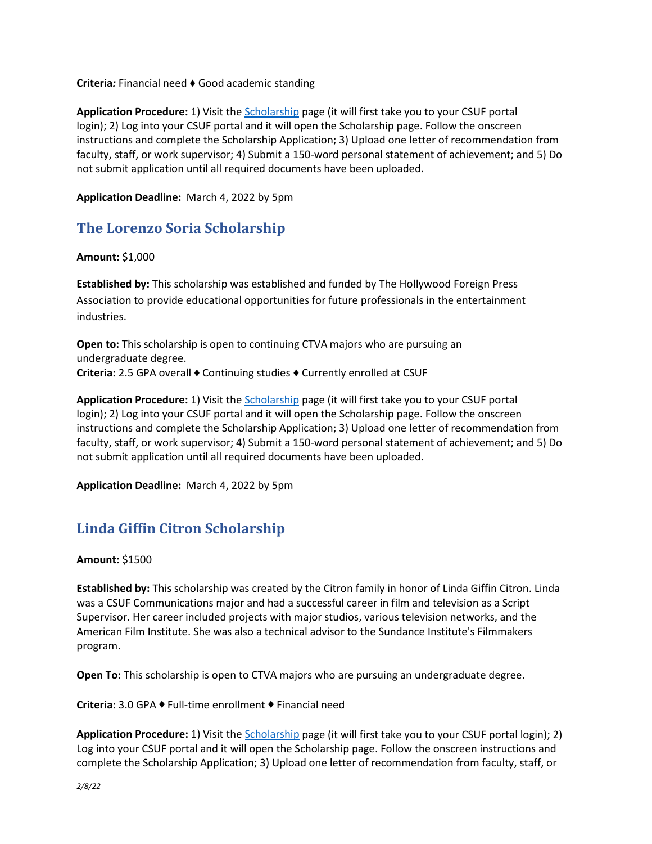**Criteria***:* Financial need ♦ Good academic standing

**Application Procedure:** 1) Visit th[e Scholarship](https://my.fullerton.edu/Portal/Scholarships/) page (it will first take you to your CSUF portal login); 2) Log into your CSUF portal and it will open the Scholarship page. Follow the onscreen instructions and complete the Scholarship Application; 3) Upload one letter of recommendation from faculty, staff, or work supervisor; 4) Submit a 150-word personal statement of achievement; and 5) Do not submit application until all required documents have been uploaded.

**Application Deadline:** March 4, 2022 by 5pm

## **The Lorenzo Soria Scholarship**

**Amount:** \$1,000

**Established by:** This scholarship was established and funded by The Hollywood Foreign Press Association to provide educational opportunities for future professionals in the entertainment industries.

**Open to:** This scholarship is open to continuing CTVA majors who are pursuing an undergraduate degree. **Criteria:** 2.5 GPA overall ♦ Continuing studies ♦ Currently enrolled at CSUF

**Application Procedure:** 1) Visit th[e Scholarship](https://my.fullerton.edu/Portal/Scholarships/) page (it will first take you to your CSUF portal login); 2) Log into your CSUF portal and it will open the Scholarship page. Follow the onscreen instructions and complete the Scholarship Application; 3) Upload one letter of recommendation from faculty, staff, or work supervisor; 4) Submit a 150-word personal statement of achievement; and 5) Do not submit application until all required documents have been uploaded.

**Application Deadline:** March 4, 2022 by 5pm

## **Linda Giffin Citron Scholarship**

**Amount:** \$1500

**Established by:** This scholarship was created by the Citron family in honor of Linda Giffin Citron. Linda was a CSUF Communications major and had a successful career in film and television as a Script Supervisor. Her career included projects with major studios, various television networks, and the American Film Institute. She was also a technical advisor to the Sundance Institute's Filmmakers program.

**Open To:** This scholarship is open to CTVA majors who are pursuing an undergraduate degree.

**Criteria:** 3.0 GPA ♦ Full-time enrollment ♦ Financial need

**Application Procedure:** 1) Visit the [Scholarship](https://my.fullerton.edu/Portal/Scholarships/) page (it will first take you to your CSUF portal login); 2) Log into your CSUF portal and it will open the Scholarship page. Follow the onscreen instructions and complete the Scholarship Application; 3) Upload one letter of recommendation from faculty, staff, or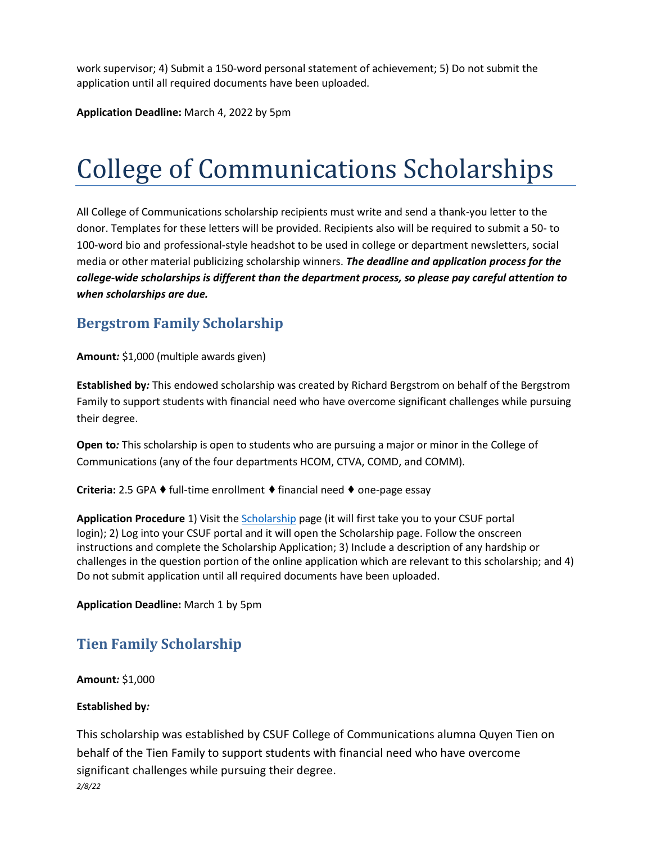work supervisor; 4) Submit a 150-word personal statement of achievement; 5) Do not submit the application until all required documents have been uploaded.

**Application Deadline:** March 4, 2022 by 5pm

# College of Communications Scholarships

All College of Communications scholarship recipients must write and send a thank-you letter to the donor. Templates for these letters will be provided. Recipients also will be required to submit a 50- to 100-word bio and professional-style headshot to be used in college or department newsletters, social media or other material publicizing scholarship winners. *The deadline and application process for the college-wide scholarships is different than the department process, so please pay careful attention to when scholarships are due.*

# **Bergstrom Family Scholarship**

**Amount***:* \$1,000 (multiple awards given)

**Established by***:* This endowed scholarship was created by Richard Bergstrom on behalf of the Bergstrom Family to support students with financial need who have overcome significant challenges while pursuing their degree.

**Open to***:* This scholarship is open to students who are pursuing a major or minor in the College of Communications (any of the four departments HCOM, CTVA, COMD, and COMM).

**Criteria:** 2.5 GPA ♦ full-time enrollment ♦ financial need ♦ one-page essay

**Application Procedure** 1) Visit the [Scholarship](https://my.fullerton.edu/Portal/Scholarships/) page (it will first take you to your CSUF portal login); 2) Log into your CSUF portal and it will open the Scholarship page. Follow the onscreen instructions and complete the Scholarship Application; 3) Include a description of any hardship or challenges in the question portion of the online application which are relevant to this scholarship; and 4) Do not submit application until all required documents have been uploaded.

**Application Deadline:** March 1 by 5pm

# **Tien Family Scholarship**

**Amount***:* \$1,000

### **Established by***:*

*2/8/22* This scholarship was established by CSUF College of Communications alumna Quyen Tien on behalf of the Tien Family to support students with financial need who have overcome significant challenges while pursuing their degree.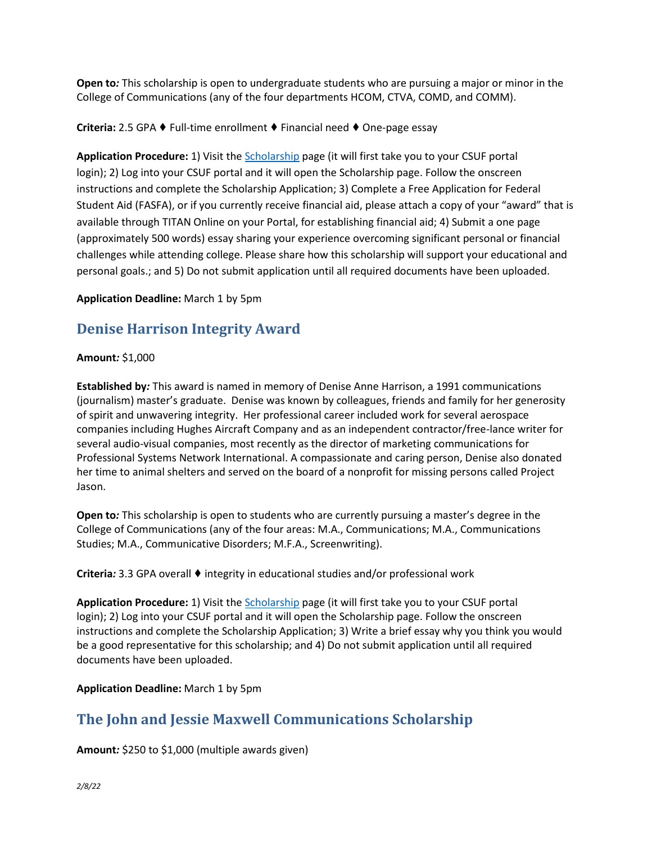**Open to***:* This scholarship is open to undergraduate students who are pursuing a major or minor in the College of Communications (any of the four departments HCOM, CTVA, COMD, and COMM).

**Criteria:** 2.5 GPA ♦ Full-time enrollment ♦ Financial need ♦ One-page essay

**Application Procedure:** 1) Visit the [Scholarship](https://my.fullerton.edu/Portal/Scholarships/) page (it will first take you to your CSUF portal login); 2) Log into your CSUF portal and it will open the Scholarship page. Follow the onscreen instructions and complete the Scholarship Application; 3) Complete a Free Application for Federal Student Aid (FASFA), or if you currently receive financial aid, please attach a copy of your "award" that is available through TITAN Online on your Portal, for establishing financial aid; 4) Submit a one page (approximately 500 words) essay sharing your experience overcoming significant personal or financial challenges while attending college. Please share how this scholarship will support your educational and personal goals.; and 5) Do not submit application until all required documents have been uploaded.

**Application Deadline:** March 1 by 5pm

## **Denise Harrison Integrity Award**

#### **Amount***:* \$1,000

**Established by***:* This award is named in memory of Denise Anne Harrison, a 1991 communications (journalism) master's graduate. Denise was known by colleagues, friends and family for her generosity of spirit and unwavering integrity. Her professional career included work for several aerospace companies including Hughes Aircraft Company and as an independent contractor/free-lance writer for several audio-visual companies, most recently as the director of marketing communications for Professional Systems Network International. A compassionate and caring person, Denise also donated her time to animal shelters and served on the board of a nonprofit for missing persons called Project Jason.

**Open to***:* This scholarship is open to students who are currently pursuing a master's degree in the College of Communications (any of the four areas: M.A., Communications; M.A., Communications Studies; M.A., Communicative Disorders; M.F.A., Screenwriting).

**Criteria***:* 3.3 GPA overall ♦ integrity in educational studies and/or professional work

**Application Procedure:** 1) Visit the [Scholarship](https://my.fullerton.edu/Portal/Scholarships/) page (it will first take you to your CSUF portal login); 2) Log into your CSUF portal and it will open the Scholarship page. Follow the onscreen instructions and complete the Scholarship Application; 3) Write a brief essay why you think you would be a good representative for this scholarship; and 4) Do not submit application until all required documents have been uploaded.

### **Application Deadline:** March 1 by 5pm

## **The John and Jessie Maxwell Communications Scholarship**

**Amount***:* \$250 to \$1,000 (multiple awards given)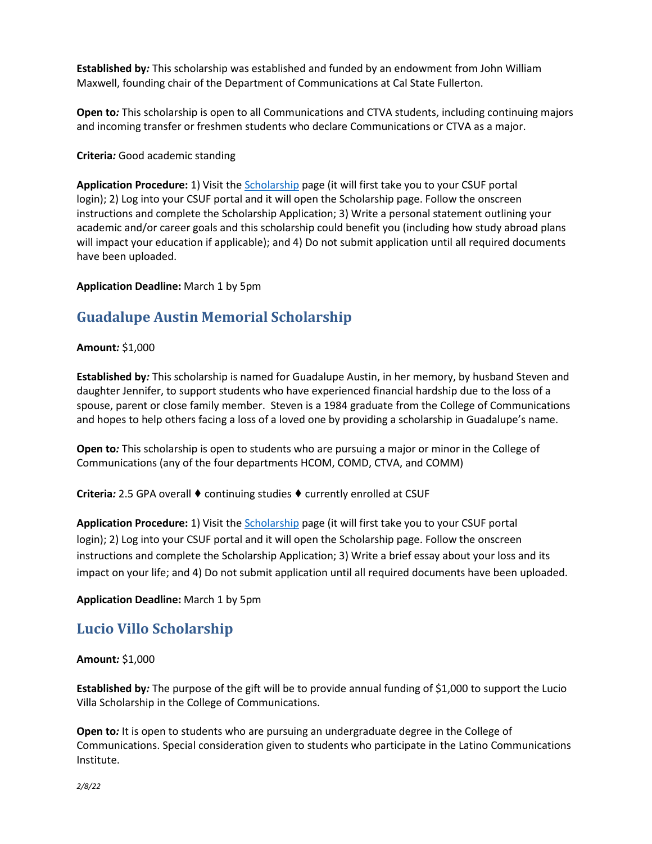**Established by***:* This scholarship was established and funded by an endowment from John William Maxwell, founding chair of the Department of Communications at Cal State Fullerton.

**Open to***:* This scholarship is open to all Communications and CTVA students, including continuing majors and incoming transfer or freshmen students who declare Communications or CTVA as a major.

**Criteria***:* Good academic standing

**Application Procedure:** 1) Visit th[e Scholarship](https://my.fullerton.edu/Portal/Scholarships/) page (it will first take you to your CSUF portal login); 2) Log into your CSUF portal and it will open the Scholarship page. Follow the onscreen instructions and complete the Scholarship Application; 3) Write a personal statement outlining your academic and/or career goals and this scholarship could benefit you (including how study abroad plans will impact your education if applicable); and 4) Do not submit application until all required documents have been uploaded.

#### **Application Deadline:** March 1 by 5pm

## **Guadalupe Austin Memorial Scholarship**

#### **Amount***:* \$1,000

**Established by***:* This scholarship is named for Guadalupe Austin, in her memory, by husband Steven and daughter Jennifer, to support students who have experienced financial hardship due to the loss of a spouse, parent or close family member. Steven is a 1984 graduate from the College of Communications and hopes to help others facing a loss of a loved one by providing a scholarship in Guadalupe's name.

**Open to***:* This scholarship is open to students who are pursuing a major or minor in the College of Communications (any of the four departments HCOM, COMD, CTVA, and COMM)

#### **Criteria***:* 2.5 GPA overall ♦ continuing studies ♦ currently enrolled at CSUF

**Application Procedure:** 1) Visit th[e Scholarship](https://my.fullerton.edu/Portal/Scholarships/) page (it will first take you to your CSUF portal login); 2) Log into your CSUF portal and it will open the Scholarship page. Follow the onscreen instructions and complete the Scholarship Application; 3) Write a brief essay about your loss and its impact on your life; and 4) Do not submit application until all required documents have been uploaded.

#### **Application Deadline:** March 1 by 5pm

## **Lucio Villo Scholarship**

#### **Amount***:* \$1,000

**Established by***:* The purpose of the gift will be to provide annual funding of \$1,000 to support the Lucio Villa Scholarship in the College of Communications.

**Open to***:* It is open to students who are pursuing an undergraduate degree in the College of Communications. Special consideration given to students who participate in the Latino Communications Institute.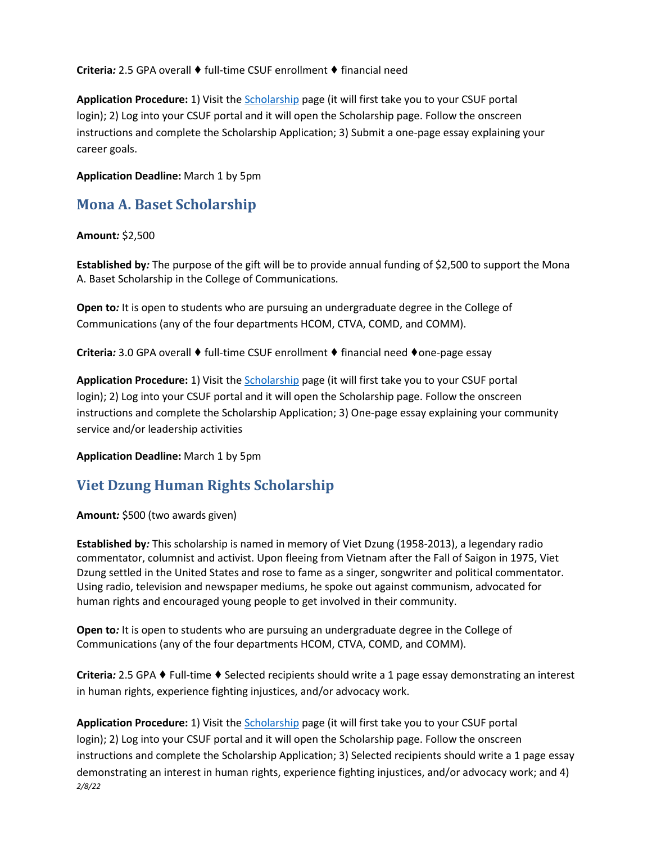**Criteria***:* 2.5 GPA overall ♦ full-time CSUF enrollment ♦ financial need

**Application Procedure:** 1) Visit th[e Scholarship](https://my.fullerton.edu/Portal/Scholarships/) page (it will first take you to your CSUF portal login); 2) Log into your CSUF portal and it will open the Scholarship page. Follow the onscreen instructions and complete the Scholarship Application; 3) Submit a one-page essay explaining your career goals.

**Application Deadline:** March 1 by 5pm

### **Mona A. Baset Scholarship**

**Amount***:* \$2,500

**Established by***:* The purpose of the gift will be to provide annual funding of \$2,500 to support the Mona A. Baset Scholarship in the College of Communications.

**Open to***:* It is open to students who are pursuing an undergraduate degree in the College of Communications (any of the four departments HCOM, CTVA, COMD, and COMM).

**Criteria***:* 3.0 GPA overall ♦ full-time CSUF enrollment ♦ financial need ♦one-page essay

**Application Procedure:** 1) Visit th[e Scholarship](https://my.fullerton.edu/Portal/Scholarships/) page (it will first take you to your CSUF portal login); 2) Log into your CSUF portal and it will open the Scholarship page. Follow the onscreen instructions and complete the Scholarship Application; 3) One-page essay explaining your community service and/or leadership activities

**Application Deadline:** March 1 by 5pm

## **Viet Dzung Human Rights Scholarship**

**Amount***:* \$500 (two awards given)

**Established by***:* This scholarship is named in memory of Viet Dzung (1958-2013), a legendary radio commentator, columnist and activist. Upon fleeing from Vietnam after the Fall of Saigon in 1975, Viet Dzung settled in the United States and rose to fame as a singer, songwriter and political commentator. Using radio, television and newspaper mediums, he spoke out against communism, advocated for human rights and encouraged young people to get involved in their community.

**Open to***:* It is open to students who are pursuing an undergraduate degree in the College of Communications (any of the four departments HCOM, CTVA, COMD, and COMM).

**Criteria***:* 2.5 GPA ♦ Full-time ♦ Selected recipients should write a 1 page essay demonstrating an interest in human rights, experience fighting injustices, and/or advocacy work.

*2/8/22* **Application Procedure:** 1) Visit th[e Scholarship](https://my.fullerton.edu/Portal/Scholarships/) page (it will first take you to your CSUF portal login); 2) Log into your CSUF portal and it will open the Scholarship page. Follow the onscreen instructions and complete the Scholarship Application; 3) Selected recipients should write a 1 page essay demonstrating an interest in human rights, experience fighting injustices, and/or advocacy work; and 4)